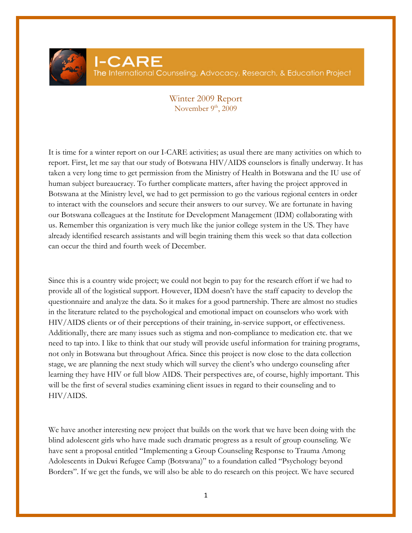

## Winter 2009 Report November  $9<sup>th</sup>$ , 2009

It is time for a winter report on our I-CARE activities; as usual there are many activities on which to report. First, let me say that our study of Botswana HIV/AIDS counselors is finally underway. It has taken a very long time to get permission from the Ministry of Health in Botswana and the IU use of human subject bureaucracy. To further complicate matters, after having the project approved in Botswana at the Ministry level, we had to get permission to go the various regional centers in order to interact with the counselors and secure their answers to our survey. We are fortunate in having our Botswana colleagues at the Institute for Development Management (IDM) collaborating with us. Remember this organization is very much like the junior college system in the US. They have already identified research assistants and will begin training them this week so that data collection can occur the third and fourth week of December.

Since this is a country wide project; we could not begin to pay for the research effort if we had to provide all of the logistical support. However, IDM doesn't have the staff capacity to develop the questionnaire and analyze the data. So it makes for a good partnership. There are almost no studies in the literature related to the psychological and emotional impact on counselors who work with HIV/AIDS clients or of their perceptions of their training, in-service support, or effectiveness. Additionally, there are many issues such as stigma and non-compliance to medication etc. that we need to tap into. I like to think that our study will provide useful information for training programs, not only in Botswana but throughout Africa. Since this project is now close to the data collection stage, we are planning the next study which will survey the client's who undergo counseling after learning they have HIV or full blow AIDS. Their perspectives are, of course, highly important. This will be the first of several studies examining client issues in regard to their counseling and to HIV/AIDS.

We have another interesting new project that builds on the work that we have been doing with the blind adolescent girls who have made such dramatic progress as a result of group counseling. We have sent a proposal entitled "Implementing a Group Counseling Response to Trauma Among Adolescents in Dukwi Refugee Camp (Botswana)" to a foundation called "Psychology beyond Borders". If we get the funds, we will also be able to do research on this project. We have secured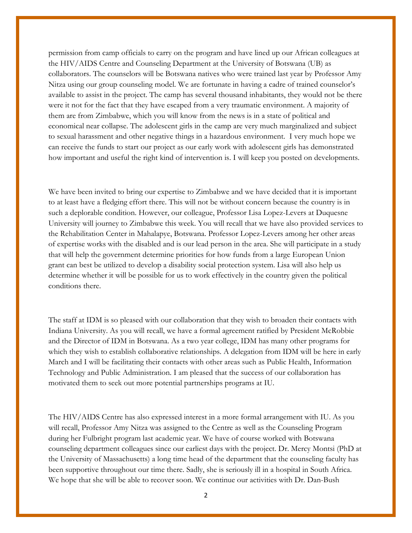permission from camp officials to carry on the program and have lined up our African colleagues at the HIV/AIDS Centre and Counseling Department at the University of Botswana (UB) as collaborators. The counselors will be Botswana natives who were trained last year by Professor Amy Nitza using our group counseling model. We are fortunate in having a cadre of trained counselor's available to assist in the project. The camp has several thousand inhabitants, they would not be there were it not for the fact that they have escaped from a very traumatic environment. A majority of them are from Zimbabwe, which you will know from the news is in a state of political and economical near collapse. The adolescent girls in the camp are very much marginalized and subject to sexual harassment and other negative things in a hazardous environment. I very much hope we can receive the funds to start our project as our early work with adolescent girls has demonstrated how important and useful the right kind of intervention is. I will keep you posted on developments.

We have been invited to bring our expertise to Zimbabwe and we have decided that it is important to at least have a fledging effort there. This will not be without concern because the country is in such a deplorable condition. However, our colleague, Professor Lisa Lopez-Levers at Duquesne University will journey to Zimbabwe this week. You will recall that we have also provided services to the Rehabilitation Center in Mahalapye, Botswana. Professor Lopez-Levers among her other areas of expertise works with the disabled and is our lead person in the area. She will participate in a study that will help the government determine priorities for how funds from a large European Union grant can best be utilized to develop a disability social protection system. Lisa will also help us determine whether it will be possible for us to work effectively in the country given the political conditions there.

The staff at IDM is so pleased with our collaboration that they wish to broaden their contacts with Indiana University. As you will recall, we have a formal agreement ratified by President McRobbie and the Director of IDM in Botswana. As a two year college, IDM has many other programs for which they wish to establish collaborative relationships. A delegation from IDM will be here in early March and I will be facilitating their contacts with other areas such as Public Health, Information Technology and Public Administration. I am pleased that the success of our collaboration has motivated them to seek out more potential partnerships programs at IU.

The HIV/AIDS Centre has also expressed interest in a more formal arrangement with IU. As you will recall, Professor Amy Nitza was assigned to the Centre as well as the Counseling Program during her Fulbright program last academic year. We have of course worked with Botswana counseling department colleagues since our earliest days with the project. Dr. Mercy Montsi (PhD at the University of Massachusetts) a long time head of the department that the counseling faculty has been supportive throughout our time there. Sadly, she is seriously ill in a hospital in South Africa. We hope that she will be able to recover soon. We continue our activities with Dr. Dan-Bush